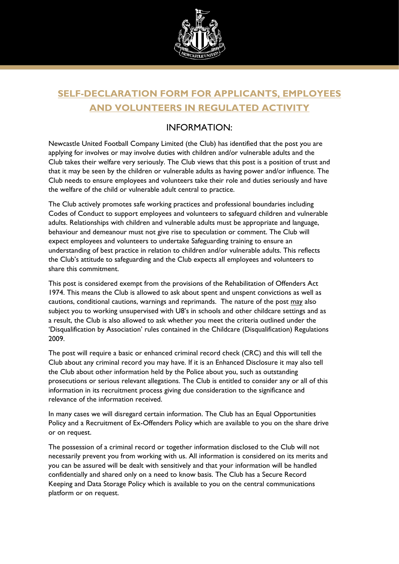

# **SELF-DECLARATION FORM FOR APPLICANTS, EMPLOYEES AND VOLUNTEERS IN REGULATED ACTIVITY**

#### INFORMATION:

Newcastle United Football Company Limited (the Club) has identified that the post you are applying for involves or may involve duties with children and/or vulnerable adults and the Club takes their welfare very seriously. The Club views that this post is a position of trust and that it may be seen by the children or vulnerable adults as having power and/or influence. The Club needs to ensure employees and volunteers take their role and duties seriously and have the welfare of the child or vulnerable adult central to practice.

The Club actively promotes safe working practices and professional boundaries including Codes of Conduct to support employees and volunteers to safeguard children and vulnerable adults. Relationships with children and vulnerable adults must be appropriate and language, behaviour and demeanour must not give rise to speculation or comment. The Club will expect employees and volunteers to undertake Safeguarding training to ensure an understanding of best practice in relation to children and/or vulnerable adults. This reflects the Club's attitude to safeguarding and the Club expects all employees and volunteers to share this commitment.

This post is considered exempt from the provisions of the Rehabilitation of Offenders Act 1974. This means the Club is allowed to ask about spent and unspent convictions as well as cautions, conditional cautions, warnings and reprimands. The nature of the post may also subject you to working unsupervised with U8's in schools and other childcare settings and as a result, the Club is also allowed to ask whether you meet the criteria outlined under the 'Disqualification by Association' rules contained in the Childcare (Disqualification) Regulations 2009.

The post will require a basic or enhanced criminal record check (CRC) and this will tell the Club about any criminal record you may have. If it is an Enhanced Disclosure it may also tell the Club about other information held by the Police about you, such as outstanding prosecutions or serious relevant allegations. The Club is entitled to consider any or all of this information in its recruitment process giving due consideration to the significance and relevance of the information received.

In many cases we will disregard certain information. The Club has an Equal Opportunities Policy and a Recruitment of Ex-Offenders Policy which are available to you on the share drive or on request.

The possession of a criminal record or together information disclosed to the Club will not necessarily prevent you from working with us. All information is considered on its merits and you can be assured will be dealt with sensitively and that your information will be handled confidentially and shared only on a need to know basis. The Club has a Secure Record Keeping and Data Storage Policy which is available to you on the central communications platform or on request.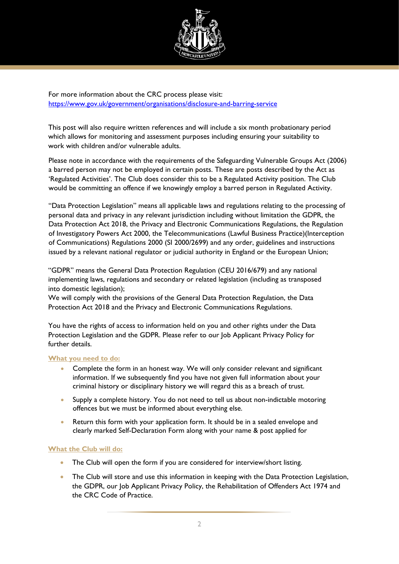

For more information about the CRC process please visit: <https://www.gov.uk/government/organisations/disclosure-and-barring-service>

This post will also require written references and will include a six month probationary period which allows for monitoring and assessment purposes including ensuring your suitability to work with children and/or vulnerable adults.

Please note in accordance with the requirements of the Safeguarding Vulnerable Groups Act (2006) a barred person may not be employed in certain posts. These are posts described by the Act as 'Regulated Activities'. The Club does consider this to be a Regulated Activity position. The Club would be committing an offence if we knowingly employ a barred person in Regulated Activity.

"Data Protection Legislation" means all applicable laws and regulations relating to the processing of personal data and privacy in any relevant jurisdiction including without limitation the GDPR, the Data Protection Act 2018, the Privacy and Electronic Communications Regulations, the Regulation of Investigatory Powers Act 2000, the Telecommunications (Lawful Business Practice)(Interception of Communications) Regulations 2000 (SI 2000/2699) and any order, guidelines and instructions issued by a relevant national regulator or judicial authority in England or the European Union;

"GDPR" means the General Data Protection Regulation (CEU 2016/679) and any national implementing laws, regulations and secondary or related legislation (including as transposed into domestic legislation);

We will comply with the provisions of the General Data Protection Regulation, the Data Protection Act 2018 and the Privacy and Electronic Communications Regulations.

You have the rights of access to information held on you and other rights under the Data Protection Legislation and the GDPR. Please refer to our Job Applicant Privacy Policy for further details.

#### **What you need to do:**

- Complete the form in an honest way. We will only consider relevant and significant information. If we subsequently find you have not given full information about your criminal history or disciplinary history we will regard this as a breach of trust.
- Supply a complete history. You do not need to tell us about non-indictable motoring offences but we must be informed about everything else.
- Return this form with your application form. It should be in a sealed envelope and clearly marked Self-Declaration Form along with your name & post applied for

#### **What the Club will do:**

- The Club will open the form if you are considered for interview/short listing.
- The Club will store and use this information in keeping with the Data Protection Legislation, the GDPR, our Job Applicant Privacy Policy, the Rehabilitation of Offenders Act 1974 and the CRC Code of Practice.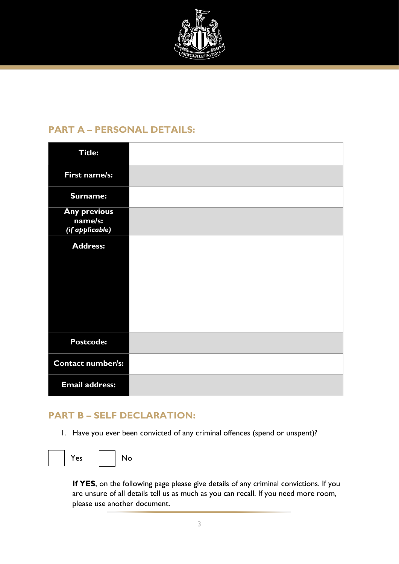

## **PART A – PERSONAL DETAILS:**

| <b>Title:</b>                                     |  |
|---------------------------------------------------|--|
| First name/s:                                     |  |
| Surname:                                          |  |
| <b>Any previous</b><br>name/s:<br>(if applicable) |  |
| <b>Address:</b>                                   |  |
|                                                   |  |
|                                                   |  |
|                                                   |  |
| <b>Postcode:</b>                                  |  |
| Contact number/s:                                 |  |
| <b>Email address:</b>                             |  |

## **PART B – SELF DECLARATION:**

1. Have you ever been convicted of any criminal offences (spend or unspent)?



**If YES**, on the following page please give details of any criminal convictions. If you are unsure of all details tell us as much as you can recall. If you need more room, please use another document.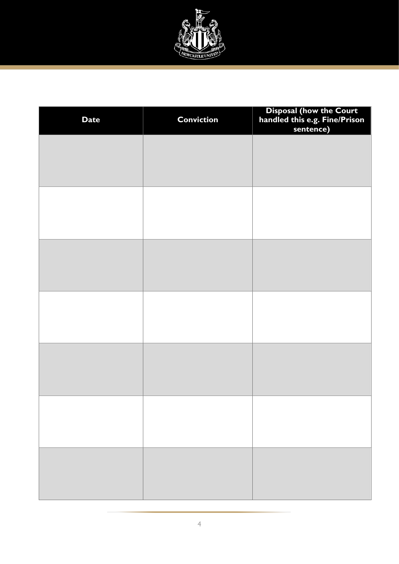

| <b>Date</b> | <b>Conviction</b> | Disposal (how the Court<br>handled this e.g. Fine/Prison<br>sentence) |
|-------------|-------------------|-----------------------------------------------------------------------|
|             |                   |                                                                       |
|             |                   |                                                                       |
|             |                   |                                                                       |
|             |                   |                                                                       |
|             |                   |                                                                       |
|             |                   |                                                                       |
|             |                   |                                                                       |
|             |                   |                                                                       |
|             |                   |                                                                       |
|             |                   |                                                                       |
|             |                   |                                                                       |
|             |                   |                                                                       |
|             |                   |                                                                       |
|             |                   |                                                                       |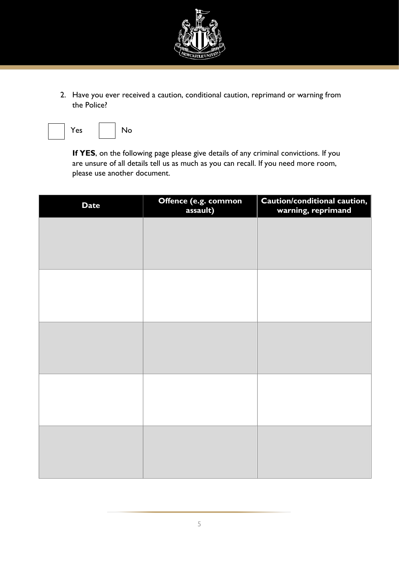

2. Have you ever received a caution, conditional caution, reprimand or warning from the Police?



**If YES**, on the following page please give details of any criminal convictions. If you are unsure of all details tell us as much as you can recall. If you need more room, please use another document.

| <b>Date</b> | Offence (e.g. common<br>assault) | Caution/conditional caution,<br>warning, reprimand |
|-------------|----------------------------------|----------------------------------------------------|
|             |                                  |                                                    |
|             |                                  |                                                    |
|             |                                  |                                                    |
|             |                                  |                                                    |
|             |                                  |                                                    |
|             |                                  |                                                    |
|             |                                  |                                                    |
|             |                                  |                                                    |
|             |                                  |                                                    |
|             |                                  |                                                    |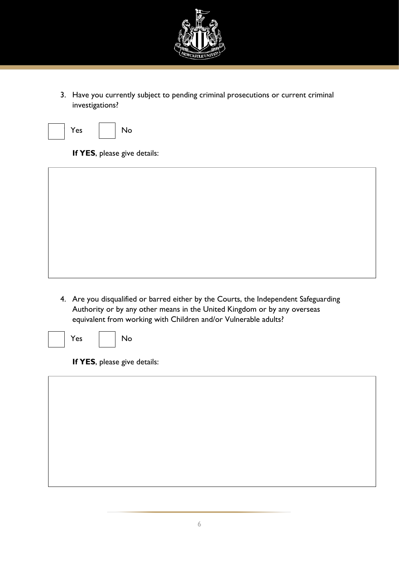

3. Have you currently subject to pending criminal prosecutions or current criminal investigations?



**If YES**, please give details:

- - 4. Are you disqualified or barred either by the Courts, the Independent Safeguarding Authority or by any other means in the United Kingdom or by any overseas equivalent from working with Children and/or Vulnerable adults?



Yes No

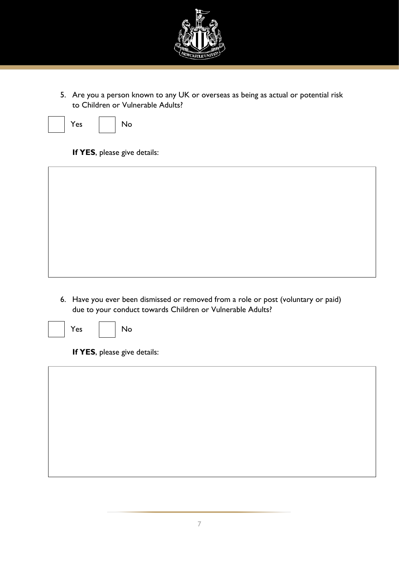

5. Are you a person known to any UK or overseas as being as actual or potential risk to Children or Vulnerable Adults?



Yes No

#### **If YES**, please give details:



6. Have you ever been dismissed or removed from a role or post (voluntary or paid) due to your conduct towards Children or Vulnerable Adults?



Yes | No

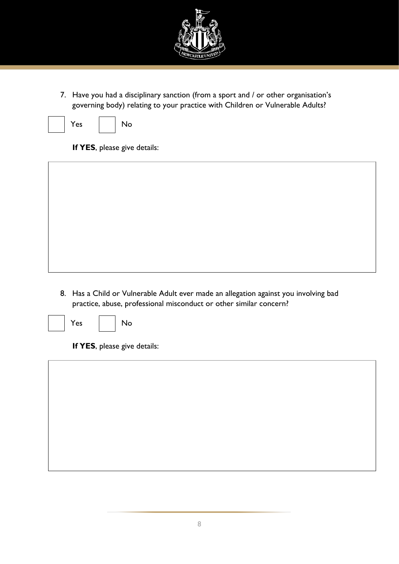

7. Have you had a disciplinary sanction (from a sport and / or other organisation's governing body) relating to your practice with Children or Vulnerable Adults?



Yes | No

**If YES**, please give details:



8. Has a Child or Vulnerable Adult ever made an allegation against you involving bad practice, abuse, professional misconduct or other similar concern?





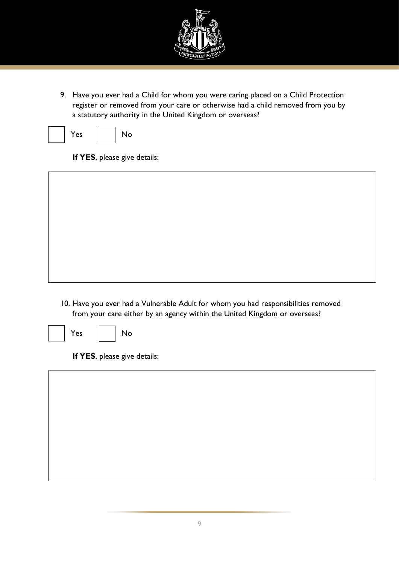

9. Have you ever had a Child for whom you were caring placed on a Child Protection register or removed from your care or otherwise had a child removed from you by a statutory authority in the United Kingdom or overseas?





**If YES**, please give details:



10. Have you ever had a Vulnerable Adult for whom you had responsibilities removed from your care either by an agency within the United Kingdom or overseas?



Yes | No

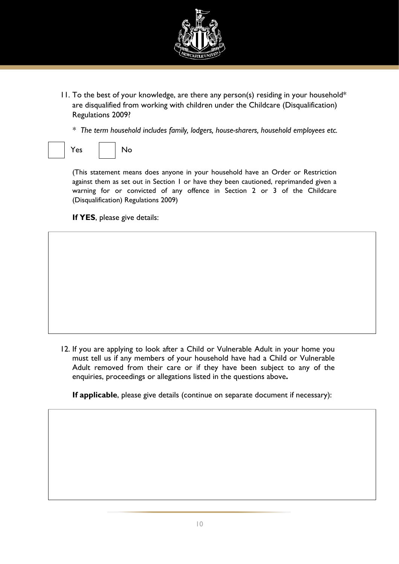

11. To the best of your knowledge, are there any person(s) residing in your household\* are disqualified from working with children under the Childcare (Disqualification) Regulations 2009?

*\* The term household includes family, lodgers, house-sharers, household employees etc.*

Yes | No

(This statement means does anyone in your household have an Order or Restriction against them as set out in Section 1 or have they been cautioned, reprimanded given a warning for or convicted of any offence in Section 2 or 3 of the Childcare (Disqualification) Regulations 2009)

**If YES**, please give details:

12. If you are applying to look after a Child or Vulnerable Adult in your home you must tell us if any members of your household have had a Child or Vulnerable Adult removed from their care or if they have been subject to any of the enquiries, proceedings or allegations listed in the questions above**.** 

**If applicable**, please give details (continue on separate document if necessary):